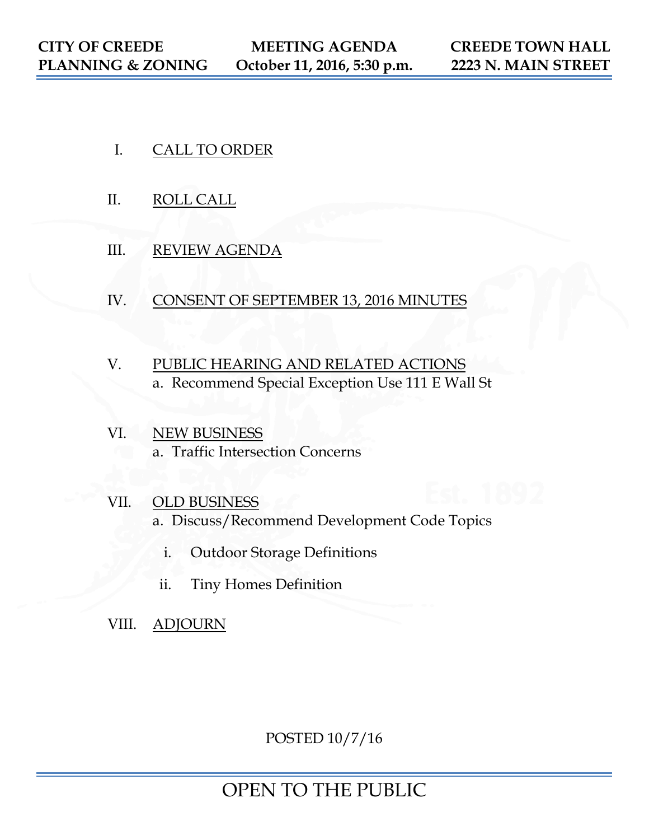- I. CALL TO ORDER
- II. ROLL CALL
- III. REVIEW AGENDA
- IV. CONSENT OF SEPTEMBER 13, 2016 MINUTES
- V. PUBLIC HEARING AND RELATED ACTIONS a. Recommend Special Exception Use 111 E Wall St
- VI. NEW BUSINESS a. Traffic Intersection Concerns
- VII. OLD BUSINESS a. Discuss/Recommend Development Code Topics
	- i. Outdoor Storage Definitions
	- ii. Tiny Homes Definition
- VIII. ADJOURN

POSTED 10/7/16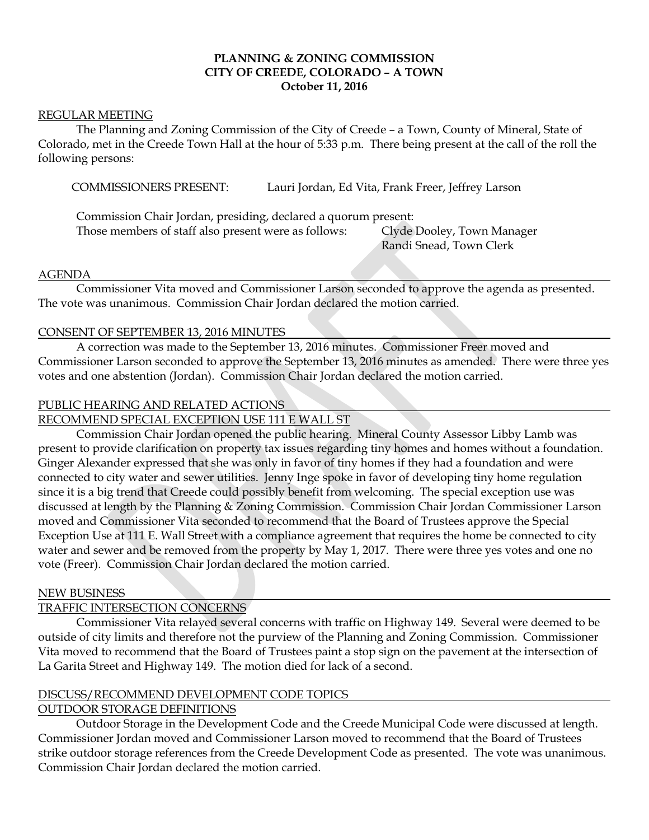# **PLANNING & ZONING COMMISSION CITY OF CREEDE, COLORADO – A TOWN October 11, 2016**

#### REGULAR MEETING

The Planning and Zoning Commission of the City of Creede – a Town, County of Mineral, State of Colorado, met in the Creede Town Hall at the hour of 5:33 p.m. There being present at the call of the roll the following persons:

COMMISSIONERS PRESENT: Lauri Jordan, Ed Vita, Frank Freer, Jeffrey Larson

Commission Chair Jordan, presiding, declared a quorum present: Those members of staff also present were as follows: Clyde Dooley, Town Manager

Randi Snead, Town Clerk

# AGENDA

Commissioner Vita moved and Commissioner Larson seconded to approve the agenda as presented. The vote was unanimous. Commission Chair Jordan declared the motion carried.

# CONSENT OF SEPTEMBER 13, 2016 MINUTES

A correction was made to the September 13, 2016 minutes. Commissioner Freer moved and Commissioner Larson seconded to approve the September 13, 2016 minutes as amended. There were three yes votes and one abstention (Jordan). Commission Chair Jordan declared the motion carried.

# PUBLIC HEARING AND RELATED ACTIONS

RECOMMEND SPECIAL EXCEPTION USE 111 E WALL ST

Commission Chair Jordan opened the public hearing. Mineral County Assessor Libby Lamb was present to provide clarification on property tax issues regarding tiny homes and homes without a foundation. Ginger Alexander expressed that she was only in favor of tiny homes if they had a foundation and were connected to city water and sewer utilities. Jenny Inge spoke in favor of developing tiny home regulation since it is a big trend that Creede could possibly benefit from welcoming. The special exception use was discussed at length by the Planning & Zoning Commission. Commission Chair Jordan Commissioner Larson moved and Commissioner Vita seconded to recommend that the Board of Trustees approve the Special Exception Use at 111 E. Wall Street with a compliance agreement that requires the home be connected to city water and sewer and be removed from the property by May 1, 2017. There were three yes votes and one no vote (Freer). Commission Chair Jordan declared the motion carried.

#### NEW BUSINESS

# TRAFFIC INTERSECTION CONCERNS

Commissioner Vita relayed several concerns with traffic on Highway 149. Several were deemed to be outside of city limits and therefore not the purview of the Planning and Zoning Commission. Commissioner Vita moved to recommend that the Board of Trustees paint a stop sign on the pavement at the intersection of La Garita Street and Highway 149. The motion died for lack of a second.

# DISCUSS/RECOMMEND DEVELOPMENT CODE TOPICS

# OUTDOOR STORAGE DEFINITIONS

Outdoor Storage in the Development Code and the Creede Municipal Code were discussed at length. Commissioner Jordan moved and Commissioner Larson moved to recommend that the Board of Trustees strike outdoor storage references from the Creede Development Code as presented. The vote was unanimous. Commission Chair Jordan declared the motion carried.